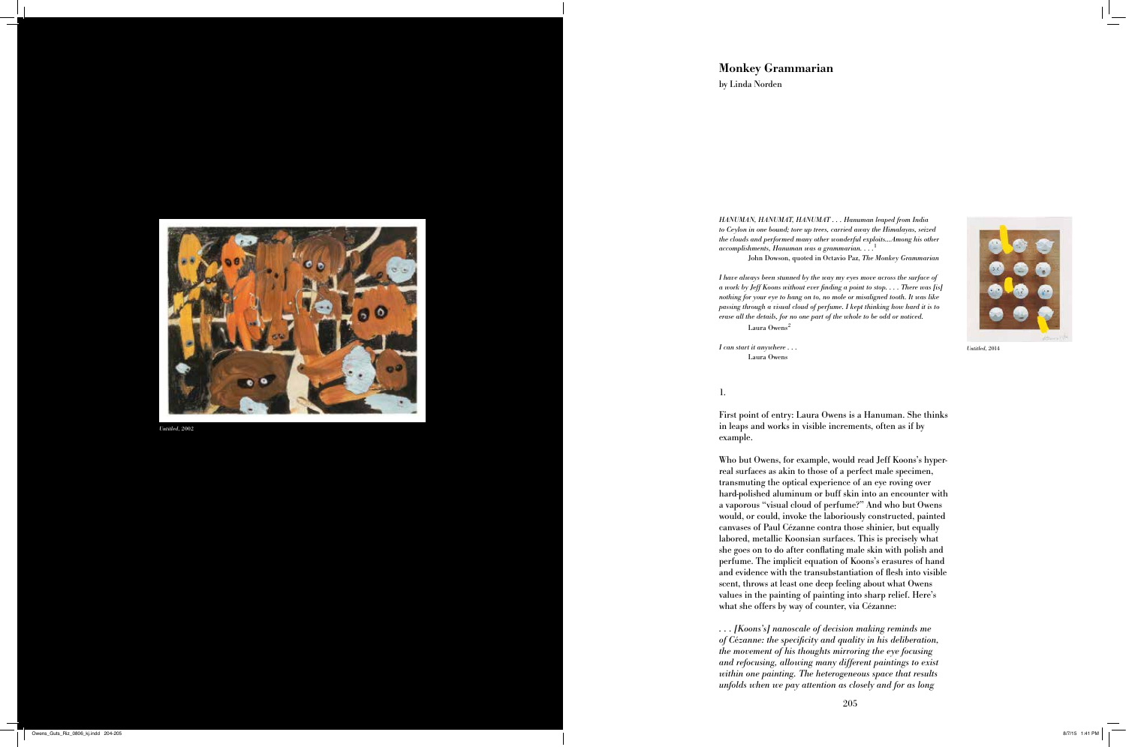# **Monkey Grammarian**

by Linda Norden

*HANUMAN, HANUMAT, HANUMAT . . . Hanuman leaped from India to Ceylon in one bound; tore up trees, carried away the Himalayas, seized the clouds and performed many other wonderful exploits…Among his other accomplishments, Hanuman was a grammarian. . . .* 1

John Dowson, quoted in Octavio Paz, *The Monkey Grammarian*

*I have always been stunned by the way my eyes move across the surface of a work by Jeff Koons without ever finding a point to stop. . . . There was [is] nothing for your eye to hang on to, no mole or misaligned tooth. It was like passing through a visual cloud of perfume. I kept thinking how hard it is to erase all the details, for no one part of the whole to be odd or noticed.*  Laura Owens 2

*I can start it anywhere . . .*  Laura Owens

1.

First point of entry: Laura Owens is a Hanuman. She thinks in leaps and works in visible increments, often as if by example.

Who but Owens, for example, would read Jeff Koons's hyperreal surfaces as akin to those of a perfect male specimen, transmuting the optical experience of an eye roving over hard-polished aluminum or buff skin into an encounter with a vaporous "visual cloud of perfume?" And who but Owens would, or could, invoke the laboriously constructed, painted canvases of Paul Cézanne contra those shinier, but equally labored, metallic Koonsian surfaces. This is precisely what she goes on to do after conflating male skin with polish and perfume. The implicit equation of Koons's erasures of hand and evidence with the transubstantiation of flesh into visible scent, throws at least one deep feeling about what Owens values in the painting of painting into sharp relief. Here's what she offers by way of counter, via Cézanne:

*. . . [Koons's] nanoscale of decision making reminds me of C* é*zanne: the specificity and quality in his deliberation, the movement of his thoughts mirroring the eye focusing and refocusing, allowing many different paintings to exist within one painting. The heterogeneous space that results unfolds when we pay attention as closely and for as long* 



*Untitled*, 2002



*Untitled*, 2014

Owens\_Guts\_Riz\_0806\_kj.indd 204-205 8/7/15 1:41 PM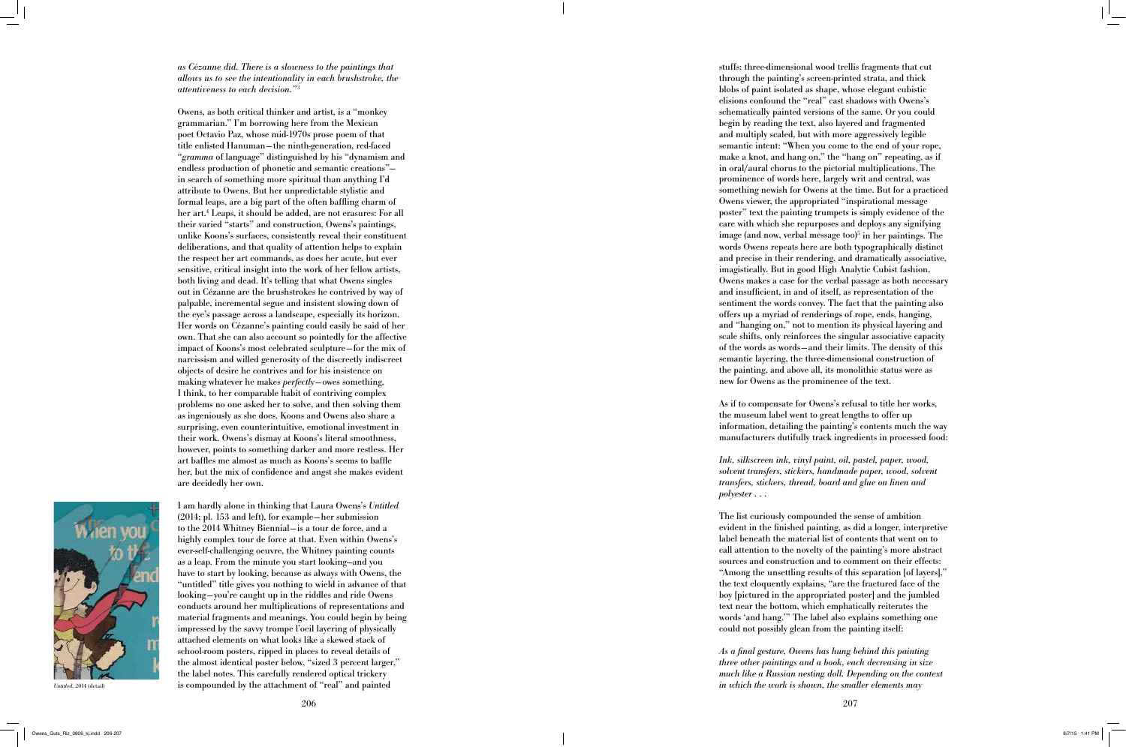*as C* é*zanne did. There is a slowness to the paintings that allows us to see the intentionality in each brushstroke, the attentiveness to each decision."* 3

Owens, as both critical thinker and artist, is a "monkey grammarian." I'm borrowing here from the Mexican poet Octavio Paz, whose mid-1970s prose poem of that title enlisted Hanuman—the ninth-generation, red-faced "*gramma* of language" distinguished by his "dynamism and endless production of phonetic and semantic creations" in search of something more spiritual than anything I'd attribute to Owens. But her unpredictable stylistic and formal leaps, are a big part of the often baffling charm of her art. 4 Leaps, it should be added, are not erasures: For all their varied "starts" and construction, Owens's paintings, unlike Koons's surfaces, consistently reveal their constituent deliberations, and that quality of attention helps to explain the respect her art commands, as does her acute, but ever sensitive, critical insight into the work of her fellow artists, both living and dead. It's telling that what Owens singles out in Cézanne are the brushstrokes he contrived by way of palpable, incremental segue and insistent slowing down of the eye's passage across a landscape, especially its horizon. Her words on Cézanne's painting could easily be said of her own. That she can also account so pointedly for the affective impact of Koons's most celebrated sculpture—for the mix of narcissism and willed generosity of the discreetly indiscreet objects of desire he contrives and for his insistence on making whatever he makes *perfectly*—owes something, I think, to her comparable habit of contriving complex problems no one asked her to solve, and then solving them as ingeniously as she does. Koons and Owens also share a surprising, even counterintuitive, emotional investment in their work. Owens's dismay at Koons's literal smoothness, however, points to something darker and more restless. Her art baffles me almost as much as Koons's seems to baffle her, but the mix of confidence and angst she makes evident are decidedly her own.



stuffs: three-dimensional wood trellis fragments that cut through the painting's screen-printed strata, and thick blobs of paint isolated as shape, whose elegant cubistic elisions confound the "real" cast shadows with Owens's schematically painted versions of the same. Or you could begin by reading the text, also layered and fragmented and multiply scaled, but with more aggressively legible semantic intent: "When you come to the end of your rope, make a knot, and hang on," the "hang on" repeating, as if in oral/aural chorus to the pictorial multiplications. The prominence of words here, largely writ and central, was something newish for Owens at the time. But for a practiced Owens viewer, the appropriated "inspirational message poster" text the painting trumpets is simply evidence of the care with which she repurposes and deploys any signifying image (and now, verbal message too) 5 in her paintings. The words Owens repeats here are both typographically distinct and precise in their rendering, and dramatically associative, imagistically. But in good High Analytic Cubist fashion, Owens makes a case for the verbal passage as both necessary and insufficient, in and of itself, as representation of the sentiment the words convey. The fact that the painting also offers up a myriad of renderings of rope, ends, hanging, and "hanging on," not to mention its physical layering and scale shifts, only reinforces the singular associative capacity of the words as words—and their limits. The density of this semantic layering, the three-dimensional construction of the painting, and above all, its monolithic status were as new for Owens as the prominence of the text.

I am hardly alone in thinking that Laura Owens's *Untitled* (2014; pl. 153 and left), for example—her submission to the 2014 Whitney Biennial—is a tour de force, and a highly complex tour de force at that. Even within Owens's ever-self-challenging oeuvre, the Whitney painting counts as a leap. From the minute you start looking—and you have to start by looking, because as always with Owens, the "untitled" title gives you nothing to wield in advance of that looking—you're caught up in the riddles and ride Owens conducts around her multiplications of representations and material fragments and meanings. You could begin by being impressed by the savvy trompe l'oeil layering of physically attached elements on what looks like a skewed stack of school-room posters, ripped in places to reveal details of the almost identical poster below, "sized 3 percent larger," the label notes. This carefully rendered optical trickery is compounded by the attachment of "real" and painted *Untitled*, 2014 (detail) *in which the work is shown, the smaller elements may* 

As if to compensate for Owens's refusal to title her works, the museum label went to great lengths to offer up information, detailing the painting's contents much the way manufacturers dutifully track ingredients in processed food:

*Ink, silkscreen ink, vinyl paint, oil, pastel, paper, wood, solvent transfers, stickers, handmade paper, wood, solvent transfers, stickers, thread, board and glue on linen and polyester . . .*

The list curiously compounded the sense of ambition evident in the finished painting, as did a longer, interpretive label beneath the material list of contents that went on to call attention to the novelty of the painting's more abstract sources and construction and to comment on their effects: "Among the unsettling results of this separation [of layers]," the text eloquently explains, "are the fractured face of the boy [pictured in the appropriated poster] and the jumbled text near the bottom, which emphatically reiterates the words 'and hang.'" The label also explains something one could not possibly glean from the painting itself:

*As a final gesture, Owens has hung behind this painting three other paintings and a book, each decreasing in size much like a Russian nesting doll. Depending on the context*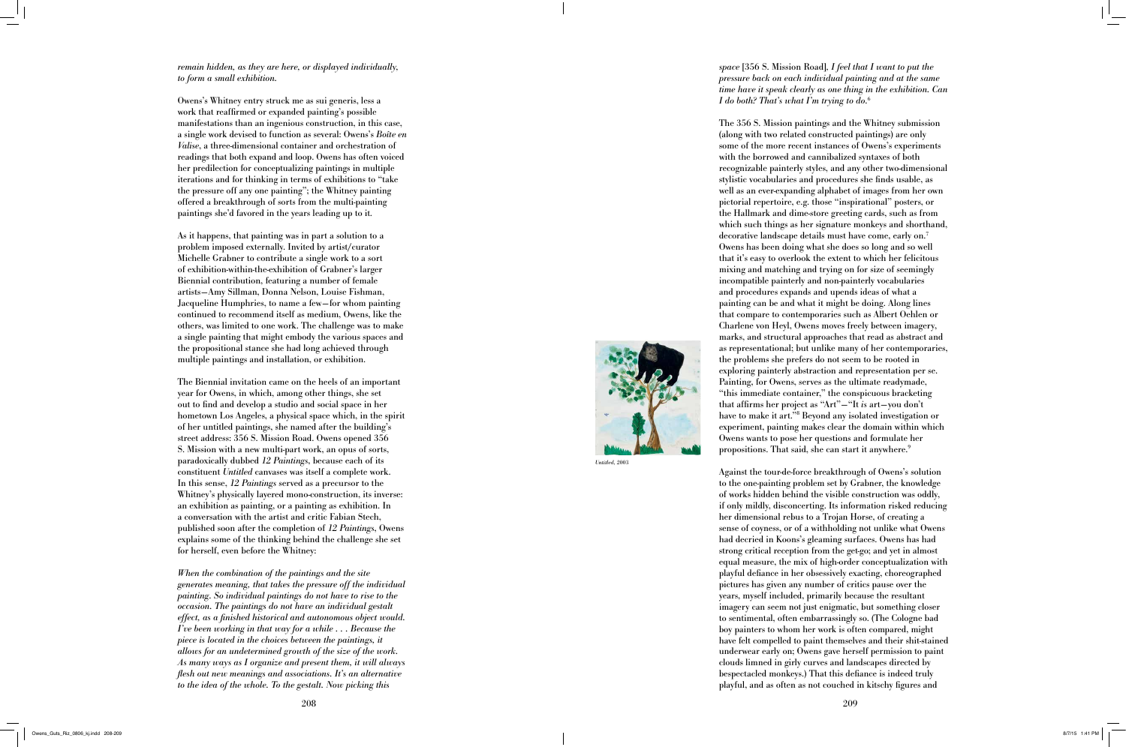## *remain hidden, as they are here, or displayed individually, to form a small exhibition.*

Owens's Whitney entry struck me as sui generis, less a work that reaffirmed or expanded painting's possible manifestations than an ingenious construction, in this case, a single work devised to function as several: Owens's *Boîte en Valise*, a three-dimensional container and orchestration of readings that both expand and loop. Owens has often voiced her predilection for conceptualizing paintings in multiple iterations and for thinking in terms of exhibitions to "take the pressure off any one painting"; the Whitney painting offered a breakthrough of sorts from the multi-painting paintings she'd favored in the years leading up to it.

As it happens, that painting was in part a solution to a problem imposed externally. Invited by artist/curator Michelle Grabner to contribute a single work to a sort of exhibition-within-the-exhibition of Grabner's larger Biennial contribution, featuring a number of female artists—Amy Sillman, Donna Nelson, Louise Fishman, Jacqueline Humphries, to name a few—for whom painting continued to recommend itself as medium, Owens, like the others, was limited to one work. The challenge was to make a single painting that might embody the various spaces and the propositional stance she had long achieved through multiple paintings and installation, or exhibition.

The 356 S. Mission paintings and the Whitney submission (along with two related constructed paintings) are only some of the more recent instances of Owens's experiments with the borrowed and cannibalized syntaxes of both recognizable painterly styles, and any other two-dimensional stylistic vocabularies and procedures she finds usable, as well as an ever-expanding alphabet of images from her own pictorial repertoire, e.g. those "inspirational" posters, or the Hallmark and dime-store greeting cards, such as from which such things as her signature monkeys and shorthand, decorative landscape details must have come, early on. 7 Owens has been doing what she does so long and so well that it's easy to overlook the extent to which her felicitous mixing and matching and trying on for size of seemingly incompatible painterly and non-painterly vocabularies and procedures expands and upends ideas of what a painting can be and what it might be doing. Along lines that compare to contemporaries such as Albert Oehlen or Charlene von Heyl, Owens moves freely between imagery, marks, and structural approaches that read as abstract and as representational; but unlike many of her contemporaries, the problems she prefers do not seem to be rooted in exploring painterly abstraction and representation per se. Painting, for Owens, serves as the ultimate readymade, "this immediate container," the conspicuous bracketing that affirms her project as "Art"—"It *is* art—you don't have to make it art."<sup>8</sup> Beyond any isolated investigation or experiment, painting makes clear the domain within which Owens wants to pose her questions and formulate her propositions. That said, she can start it anywhere.<sup>9</sup>

The Biennial invitation came on the heels of an important year for Owens, in which, among other things, she set out to find and develop a studio and social space in her hometown Los Angeles, a physical space which, in the spirit of her untitled paintings, she named after the building's street address: 356 S. Mission Road. Owens opened 356 S. Mission with a new multi-part work, an opus of sorts, paradoxically dubbed *12 Paintings*, because each of its constituent *Untitled* canvases was itself a complete work. In this sense, *12 Paintings* served as a precursor to the Whitney's physically layered mono-construction, its inverse: an exhibition as painting, or a painting as exhibition. In a conversation with the artist and critic Fabian Stech, published soon after the completion of *12 Paintings*, Owens explains some of the thinking behind the challenge she set for herself, even before the Whitney:

*When the combination of the paintings and the site generates meaning, that takes the pressure off the individual painting. So individual paintings do not have to rise to the occasion. The paintings do not have an individual gestalt effect, as a finished historical and autonomous object would. I've been working in that way for a while . . . Because the piece is located in the choices between the paintings, it allows for an undetermined growth of the size of the work. As many ways as I organize and present them, it will always flesh out new meanings and associations. It's an alternative to the idea of the whole. To the gestalt. Now picking this* 

*space* [356 S. Mission Road]*, I feel that I want to put the pressure back on each individual painting and at the same time have it speak clearly as one thing in the exhibition. Can I do both? That's what I'm trying to do.* 6

Against the tour-de-force breakthrough of Owens's solution to the one-painting problem set by Grabner, the knowledge of works hidden behind the visible construction was oddly, if only mildly, disconcerting. Its information risked reducing her dimensional rebus to a Trojan Horse, of creating a sense of coyness, or of a withholding not unlike what Owens had decried in Koons's gleaming surfaces. Owens has had strong critical reception from the get-go; and yet in almost equal measure, the mix of high-order conceptualization with playful defiance in her obsessively exacting, choreographed pictures has given any number of critics pause over the years, myself included, primarily because the resultant imagery can seem not just enigmatic, but something closer to sentimental, often embarrassingly so. (The Cologne bad boy painters to whom her work is often compared, might have felt compelled to paint themselves and their shit-stained underwear early on; Owens gave herself permission to paint clouds limned in girly curves and landscapes directed by bespectacled monkeys.) That this defiance is indeed truly playful, and as often as not couched in kitschy figures and



*Untitled*, 2003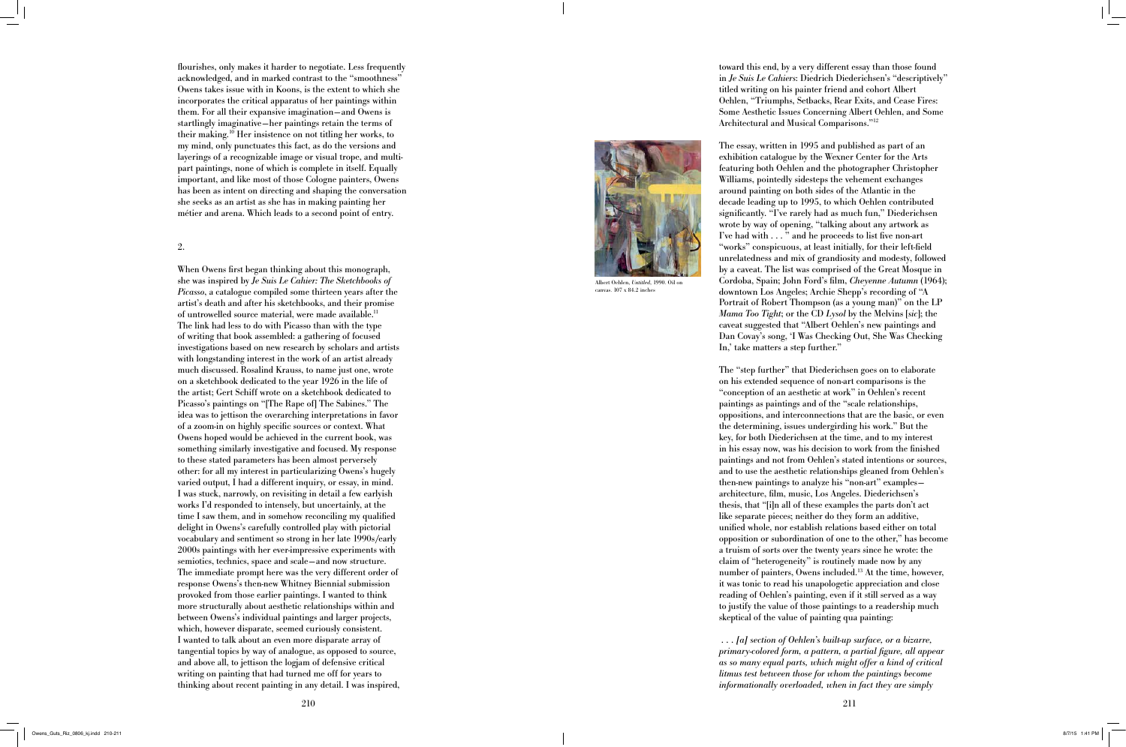flourishes, only makes it harder to negotiate. Less frequently acknowledged, and in marked contrast to the "smoothness" Owens takes issue with in Koons, is the extent to which she incorporates the critical apparatus of her paintings within them. For all their expansive imagination —and Owens is startlingly imaginative —her paintings retain the terms of their making.10 Her insistence on not titling her works, to my mind, only punctuates this fact, as do the versions and layerings of a recognizable image or visual trope, and multipart paintings, none of which is complete in itself. Equally important, and like most of those Cologne painters, Owens has been as intent on directing and shaping the conversation she seeks as an artist as she has in making painting her métier and arena. Which leads to a second point of entry.

### 2.

When Owens first began thinking about this monograph, she was inspired by *Je Suis Le Cahier: The Sketchbooks of Picasso*, a catalogue compiled some thirteen years after the artist's death and after his sketchbooks, and their promise of untrowelled source material, were made available.<sup>11</sup> The link had less to do with Picasso than with the type of writing that book assembled: a gathering of focused investigations based on new research by scholars and artists with longstanding interest in the work of an artist already much discussed. Rosalind Krauss, to name just one, wrote on a sketchbook dedicated to the year 1926 in the life of the artist; Gert Schiff wrote on a sketchbook dedicated to Picasso's paintings on "[The Rape of] The Sabines." The idea was to jettison the overarching interpretations in favor of a zoom-in on highly specific sources or context. What Owens hoped would be achieved in the current book, was something similarly investigative and focused. My response to these stated parameters has been almost perversely other: for all my interest in particularizing Owens's hugely varied output, I had a different inquiry, or essay, in mind. I was stuck, narrowly, on revisiting in detail a few earlyish works I'd responded to intensely, but uncertainly, at the time I saw them, and in somehow reconciling my qualified delight in Owens's carefully controlled play with pictorial vocabulary and sentiment so strong in her late 1990s/early 2000s paintings with her ever-impressive experiments with semiotics, technics, space and scale —and now structure. The immediate prompt here was the very different order of response Owens's then-new Whitney Biennial submission provoked from those earlier paintings. I wanted to think more structurally about aesthetic relationships within and between Owens's individual paintings and larger projects, which, however disparate, seemed curiously consistent. I wanted to talk about an even more disparate array of tangential topics by way of analogue, as opposed to source, and above all, to jettison the logjam of defensive critical writing on painting that had turned me off for years to thinking about recent painting in any detail. I was inspired,

toward this end, by a very different essay than those found in *Je Suis Le Cahiers*: Diedrich Diederichsen's "descriptively" titled writing on his painter friend and cohort Albert Oehlen, "Triumphs, Setbacks, Rear Exits, and Cease Fires: Some Aesthetic Issues Concerning Albert Oehlen, and Some Architectural and Musical Comparisons."12

The essay, written in 1995 and published as part of an exhibition catalogue by the Wexner Center for the Arts featuring both Oehlen and the photographer Christopher Williams, pointedly sidesteps the vehement exchanges around painting on both sides of the Atlantic in the decade leading up to 1995, to which Oehlen contributed significantly. "I've rarely had as much fun," Diederichsen wrote by way of opening, "talking about any artwork as I've had with . . . " and he proceeds to list five non-art "works" conspicuous, at least initially, for their left-field unrelatedness and mix of grandiosity and modesty, followed by a caveat. The list was comprised of the Great Mosque in Cordoba, Spain; John Ford's film, *Cheyenne Autumn* (1964); downtown Los Angeles; Archie Shepp's recording of "A Portrait of Robert Thompson (as a young man)" on the LP *Mama Too Tight*; or the CD *Lysol* by the Melvins [*sic*]; the caveat suggested that "Albert Oehlen's new paintings and Dan Covay's song, 'I Was Checking Out, She Was Checking In,' take matters a step further."

The "step further" that Diederichsen goes on to elaborate on his extended sequence of non-art comparisons is the "conception of an aesthetic at work" in Oehlen's recent paintings as paintings and of the "scale relationships, oppositions, and interconnections that are the basic, or even the determining, issues undergirding his work." But the key, for both Diederichsen at the time, and to my interest in his essay now, was his decision to work from the finished paintings and not from Oehlen's stated intentions or sources, and to use the aesthetic relationships gleaned from Oehlen's then-new paintings to analyze his "non-art" examples architecture, film, music, Los Angeles. Diederichsen's thesis, that "[i]n all of these examples the parts don't act like separate pieces; neither do they form an additive, unified whole, nor establish relations based either on total opposition or subordination of one to the other," has become a truism of sorts over the twenty years since he wrote: the claim of "heterogeneity" is routinely made now by any number of painters, Owens included.<sup>13</sup> At the time, however, it was tonic to read his unapologetic appreciation and close reading of Oehlen's painting, even if it still served as a way to justify the value of those paintings to a readership much skeptical of the value of painting qua painting:

 *. . . [a] section of Oehlen's built-up surface, or a bizarre, primary-colored form, a pattern, a partial figure, all appear as so many equal parts, which might offer a kind of critical litmus test between those for whom the paintings become informationally overloaded, when in fact they are simply* 



Albert Oehlen, *Untitled*, 1990. Oil on canvas. 107 x 84.2 inches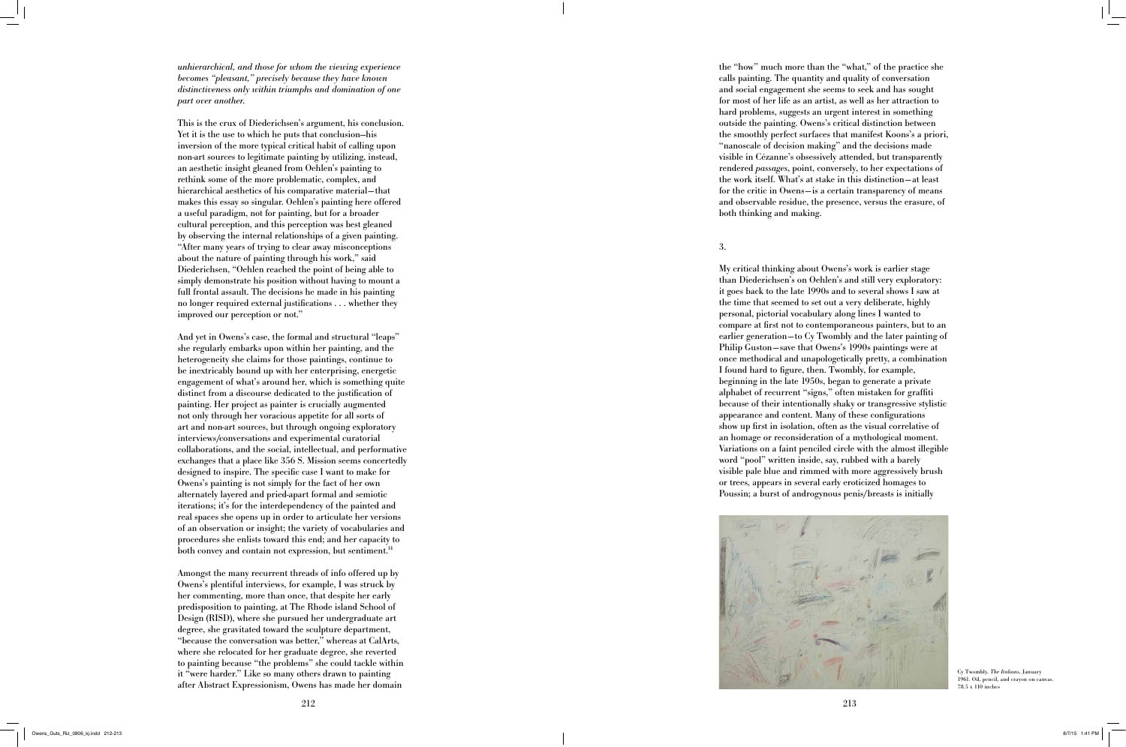*unhierarchical, and those for whom the viewing experience becomes "pleasant," precisely because they have known distinctiveness only within triumphs and domination of one part over another.*

And yet in Owens's case, the formal and structural "leaps" she regularly embarks upon within her painting, and the heterogeneity she claims for those paintings, continue to be inextricably bound up with her enterprising, energetic engagement of what's around her, which is something quite distinct from a discourse dedicated to the justification of painting. Her project as painter is crucially augmented not only through her voracious appetite for all sorts of art and non-art sources, but through ongoing exploratory interviews/conversations and experimental curatorial collaborations, and the social, intellectual, and performative exchanges that a place like 356 S. Mission seems concertedly designed to inspire. The specific case I want to make for Owens's painting is not simply for the fact of her own alternately layered and pried-apart formal and semiotic iterations; it's for the interdependency of the painted and real spaces she opens up in order to articulate her versions of an observation or insight; the variety of vocabularies and procedures she enlists toward this end; and her capacity to both convey and contain not expression, but sentiment.<sup>14</sup>

This is the crux of Diederichsen's argument, his conclusion. Yet it is the use to which he puts that conclusion—his inversion of the more typical critical habit of calling upon non-art sources to legitimate painting by utilizing, instead, an aesthetic insight gleaned from Oehlen's painting to rethink some of the more problematic, complex, and hierarchical aesthetics of his comparative material —that makes this essay so singular. Oehlen's painting here offered a useful paradigm, not for painting, but for a broader cultural perception, and this perception was best gleaned by observing the internal relationships of a given painting. "After many years of trying to clear away misconceptions about the nature of painting through his work," said Diederichsen, "Oehlen reached the point of being able to simply demonstrate his position without having to mount a full frontal assault. The decisions he made in his painting no longer required external justifications . . . whether they improved our perception or not."



Cy Twombly, *The Italians*, January 1961. Oil, pencil, and crayon on canvas.  $78.5 \times 110$  inches

Amongst the many recurrent threads of info offered up by Owens's plentiful interviews, for example, I was struck by her commenting, more than once, that despite her early predisposition to painting, at The Rhode island School of Design (RISD), where she pursued her undergraduate art degree, she gravitated toward the sculpture department, "because the conversation was better," whereas at CalArts, where she relocated for her graduate degree, she reverted to painting because "the problems" she could tackle within it "were harder." Like so many others drawn to painting after Abstract Expressionism, Owens has made her domain

the "how" much more than the "what," of the practice she calls painting. The quantity and quality of conversation and social engagement she seems to seek and has sought for most of her life as an artist, as well as her attraction to hard problems, suggests an urgent interest in something outside the painting. Owens's critical distinction between the smoothly perfect surfaces that manifest Koons's a priori, "nanoscale of decision making" and the decisions made visible in Cézanne's obsessively attended, but transparently rendered *passages*, point, conversely, to her expectations of the work itself. What's at stake in this distinction—at least for the critic in Owens—is a certain transparency of means and observable residue, the presence, versus the erasure, of both thinking and making.

3.

My critical thinking about Owens's work is earlier stage than Diederichsen's on Oehlen's and still very exploratory: it goes back to the late 1990s and to several shows I saw at the time that seemed to set out a very deliberate, highly personal, pictorial vocabulary along lines I wanted to compare at first not to contemporaneous painters, but to an earlier generation—to Cy Twombly and the later painting of Philip Guston—save that Owens's 1990s paintings were at once methodical and unapologetically pretty, a combination I found hard to figure, then. Twombly, for example, beginning in the late 1950s, began to generate a private alphabet of recurrent "signs," often mistaken for graffiti because of their intentionally shaky or transgressive stylistic appearance and content. Many of these configurations show up first in isolation, often as the visual correlative of an homage or reconsideration of a mythological moment. Variations on a faint penciled circle with the almost illegible word "pool" written inside, say, rubbed with a barely visible pale blue and rimmed with more aggressively brush or trees, appears in several early eroticized homages to Poussin; a burst of androgynous penis/breasts is initially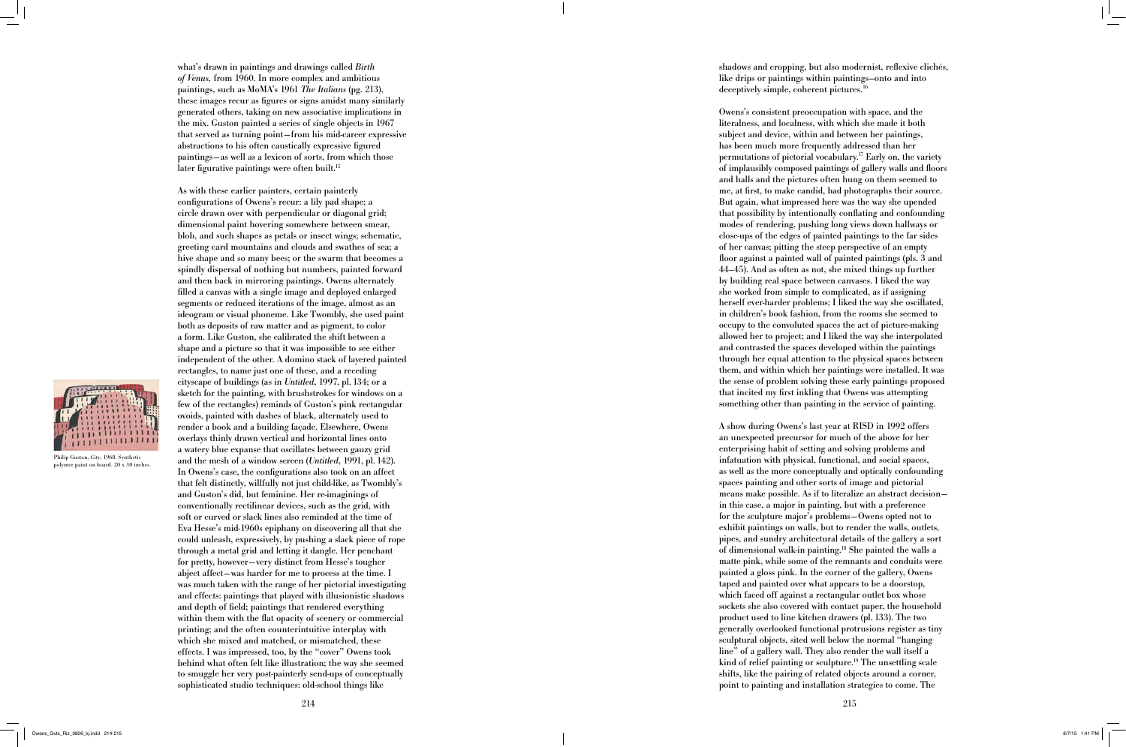214 215

what's drawn in paintings and drawings called *Birth of Venus,* from 1960. In more complex and ambitious paintings, such as MoMA's 1961 *The Italians* (pg. 213), these images recur as figures or signs amidst many similarly generated others, taking on new associative implications in the mix. Guston painted a series of single objects in 1967 that served as turning point—from his mid-career expressive abstractions to his often caustically expressive figured paintings—as well as a lexicon of sorts, from which those later figurative paintings were often built.<sup>15</sup>

shadows and cropping, but also modernist, reflexive clichés, like drips or paintings within paintings—onto and into deceptively simple, coherent pictures.<sup>16</sup>

As with these earlier painters, certain painterly configurations of Owens's recur: a lily pad shape; a circle drawn over with perpendicular or diagonal grid; dimensional paint hovering somewhere between smear, blob, and such shapes as petals or insect wings; schematic, greeting card mountains and clouds and swathes of sea; a hive shape and so many bees; or the swarm that becomes a spindly dispersal of nothing but numbers, painted forward and then back in mirroring paintings. Owens alternately filled a canvas with a single image and deployed enlarged segments or reduced iterations of the image, almost as an ideogram or visual phoneme. Like Twombly, she used paint both as deposits of raw matter and as pigment, to color a form. Like Guston, she calibrated the shift between a shape and a picture so that it was impossible to see either independent of the other. A domino stack of layered painted rectangles, to name just one of these, and a receding cityscape of buildings (as in *Untitled*, 1997, pl. 134; or a sketch for the painting, with brushstrokes for windows on a few of the rectangles) reminds of Guston's pink rectangular ovoids, painted with dashes of black, alternately used to render a book and a building façade. Elsewhere, Owens overlays thinly drawn vertical and horizontal lines onto a watery blue expanse that oscillates between gauzy grid and the mesh of a window screen (*Untitled*, 1991, pl. 142). In Owens's case, the configurations also took on an affect that felt distinctly, willfully not just child-like, as Twombly's and Guston's did, but feminine. Her re-imaginings of conventionally rectilinear devices, such as the grid, with soft or curved or slack lines also reminded at the time of Eva Hesse's mid-1960s epiphany on discovering all that she could unleash, expressively, by pushing a slack piece of rope through a metal grid and letting it dangle. Her penchant for pretty, however —very distinct from Hesse's tougher abject affect —was harder for me to process at the time. I was much taken with the range of her pictorial investigating and effects: paintings that played with illusionistic shadows and depth of field; paintings that rendered everything within them with the flat opacity of scenery or commercial printing; and the often counterintuitive interplay with which she mixed and matched, or mismatched, these effects. I was impressed, too, by the "cover" Owens took behind what often felt like illustration; the way she seemed to smuggle her very post-painterly send-ups of conceptually sophisticated studio techniques: old-school things like

Owens's consistent preoccupation with space, and the literalness, and localness, with which she made it both subject and device, within and between her paintings, has been much more frequently addressed than her permutations of pictorial vocabulary.17 Early on, the variety of implausibly composed paintings of gallery walls and floors and halls and the pictures often hung on them seemed to me, at first, to make candid, bad photographs their source. But again, what impressed here was the way she upended that possibility by intentionally conflating and confounding modes of rendering, pushing long views down hallways or close-ups of the edges of painted paintings to the far sides of her canvas; pitting the steep perspective of an empty floor against a painted wall of painted paintings (pls. 3 and 44–45). And as often as not, she mixed things up further by building real space between canvases. I liked the way she worked from simple to complicated, as if assigning herself ever-harder problems; I liked the way she oscillated, in children's book fashion, from the rooms she seemed to occupy to the convoluted spaces the act of picture-making allowed her to project; and I liked the way she interpolated and contrasted the spaces developed within the paintings through her equal attention to the physical spaces between them, and within which her paintings were installed. It was the sense of problem solving these early paintings proposed that incited my first inkling that Owens was attempting something other than painting in the service of painting.

A show during Owens's last year at RISD in 1992 offers an unexpected precursor for much of the above for her enterprising habit of setting and solving problems and infatuation with physical, functional, and social spaces, as well as the more conceptually and optically confounding spaces painting and other sorts of image and pictorial means make possible. As if to literalize an abstract decision in this case, a major in painting, but with a preference for the sculpture major's problems—Owens opted not to exhibit paintings on walls, but to render the walls, outlets, pipes, and sundry architectural details of the gallery a sort of dimensional walk-in painting.18 She painted the walls a matte pink, while some of the remnants and conduits were painted a gloss pink. In the corner of the gallery, Owens taped and painted over what appears to be a doorstop, which faced off against a rectangular outlet box whose sockets she also covered with contact paper, the household product used to line kitchen drawers (pl. 133). The two generally overlooked functional protrusions register as tiny sculptural objects, sited well below the normal "hanging line" of a gallery wall. They also render the wall itself a kind of relief painting or sculpture.<sup>19</sup> The unsettling scale shifts, like the pairing of related objects around a corner, point to painting and installation strategies to come. The



Philip Guston, *City*, 1968. Synthetic polymer paint on board. 20 x 30 inches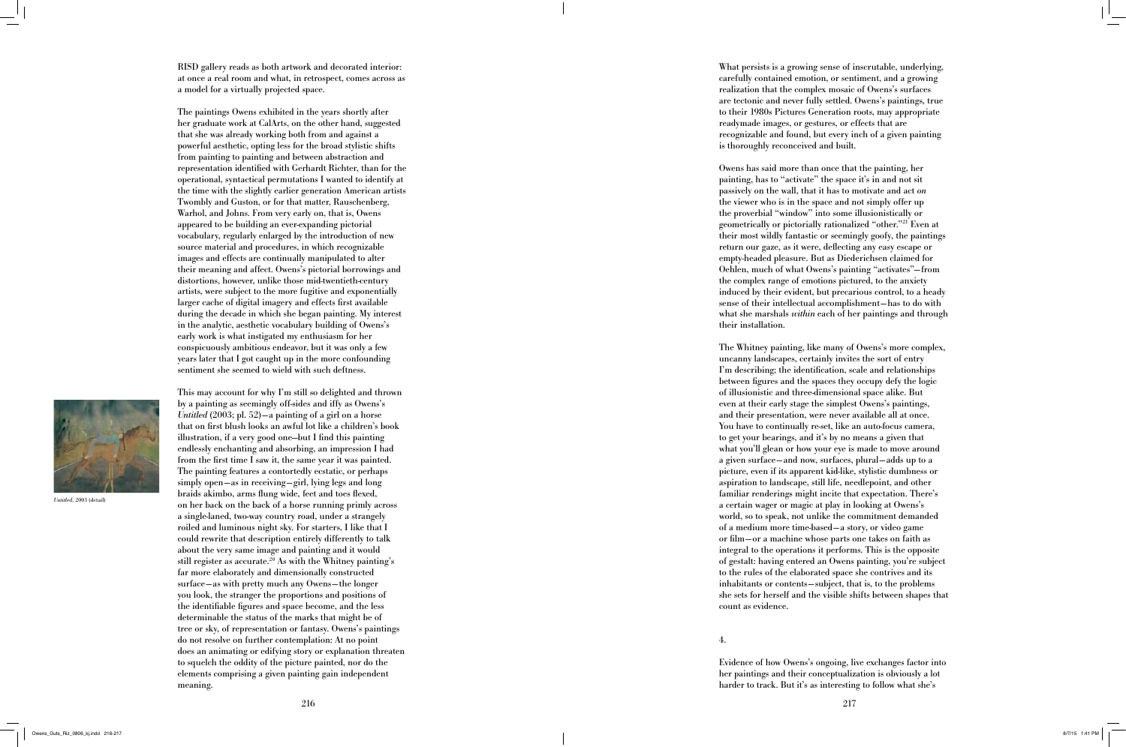RISD gallery reads as both artwork and decorated interior: at once a real room and what, in retrospect, comes across as a model for a virtually projected space.

The paintings Owens exhibited in the years shortly after her graduate work at CalArts, on the other hand, suggested that she was already working both from and against a powerful aesthetic, opting less for the broad stylistic shifts from painting to painting and between abstraction and representation identified with Gerhardt Richter, than for the operational, syntactical permutations I wanted to identify at the time with the slightly earlier generation American artists Twombly and Guston, or for that matter, Rauschenberg, Warhol, and Johns. From very early on, that is, Owens appeared to be building an ever-expanding pictorial vocabulary, regularly enlarged by the introduction of new source material and procedures, in which recognizable images and effects are continually manipulated to alter their meaning and affect. Owens's pictorial borrowings and distortions, however, unlike those mid-twentieth-century artists, were subject to the more fugitive and exponentially larger cache of digital imagery and effects first available during the decade in which she began painting. My interest in the analytic, aesthetic vocabulary building of Owens's early work is what instigated my enthusiasm for her conspicuously ambitious endeavor, but it was only a few years later that I got caught up in the more confounding sentiment she seemed to wield with such deftness.

What persists is a growing sense of inscrutable, underlying, carefully contained emotion, or sentiment, and a growing realization that the complex mosaic of Owens's surfaces are tectonic and never fully settled. Owens's paintings, true to their 1980s Pictures Generation roots, may appropriate readymade images, or gestures, or effects that are recognizable and found, but every inch of a given painting is thoroughly reconceived and built.

This may account for why I'm still so delighted and thrown by a painting as seemingly off-sides and iffy as Owens's *Untitled* (2003; pl. 52)—a painting of a girl on a horse that on first blush looks an awful lot like a children's book illustration, if a very good one—but I find this painting endlessly enchanting and absorbing, an impression I had from the first time I saw it, the same year it was painted. The painting features a contortedly ecstatic, or perhaps simply open—as in receiving—girl, lying legs and long braids akimbo, arms flung wide, feet and toes flexed, on her back on the back of a horse running primly across a single-laned, two-way country road, under a strangely roiled and luminous night sky. For starters, I like that I could rewrite that description entirely differently to talk about the very same image and painting and it would still register as accurate.<sup>20</sup> As with the Whitney painting's far more elaborately and dimensionally constructed surface—as with pretty much any Owens—the longer you look, the stranger the proportions and positions of the identifiable figures and space become, and the less determinable the status of the marks that might be of tree or sky, of representation or fantasy. Owens's paintings do not resolve on further contemplation: At no point does an animating or edifying story or explanation threaten to squelch the oddity of the picture painted, nor do the elements comprising a given painting gain independent meaning.

216 217 4.

Owens has said more than once that the painting, her painting, has to "activate" the space it's in and not sit passively on the wall, that it has to motivate and act *on* the viewer who is in the space and not simply offer up the proverbial "window" into some illusionistically or geometrically or pictorially rationalized "other."21 Even at their most wildly fantastic or seemingly goofy, the paintings return our gaze, as it were, deflecting any easy escape or empty-headed pleasure. But as Diederichsen claimed for Oehlen, much of what Owens's painting "activates"—from the complex range of emotions pictured, to the anxiety induced by their evident, but precarious control, to a heady sense of their intellectual accomplishment—has to do with what she marshals *within* each of her paintings and through their installation.

The Whitney painting, like many of Owens's more complex, uncanny landscapes, certainly invites the sort of entry I'm describing; the identification, scale and relationships between figures and the spaces they occupy defy the logic of illusionistic and three-dimensional space alike. But even at their early stage the simplest Owens's paintings, and their presentation, were never available all at once. You have to continually re-set, like an auto-focus camera, to get your bearings, and it's by no means a given that what you'll glean or how your eye is made to move around a given surface—and now, surfaces, plural—adds up to a picture, even if its apparent kid-like, stylistic dumbness or aspiration to landscape, still life, needlepoint, and other familiar renderings might incite that expectation. There's a certain wager or magic at play in looking at Owens's world, so to speak, not unlike the commitment demanded of a medium more time-based—a story, or video game or film—or a machine whose parts one takes on faith as integral to the operations it performs. This is the opposite of gestalt: having entered an Owens painting, you're subject to the rules of the elaborated space she contrives and its inhabitants or contents—subject, that is, to the problems she sets for herself and the visible shifts between shapes that count as evidence.

Evidence of how Owens's ongoing, live exchanges factor into her paintings and their conceptualization is obviously a lot harder to track. But it's as interesting to follow what she's



*Untitled*, 2003 (detail)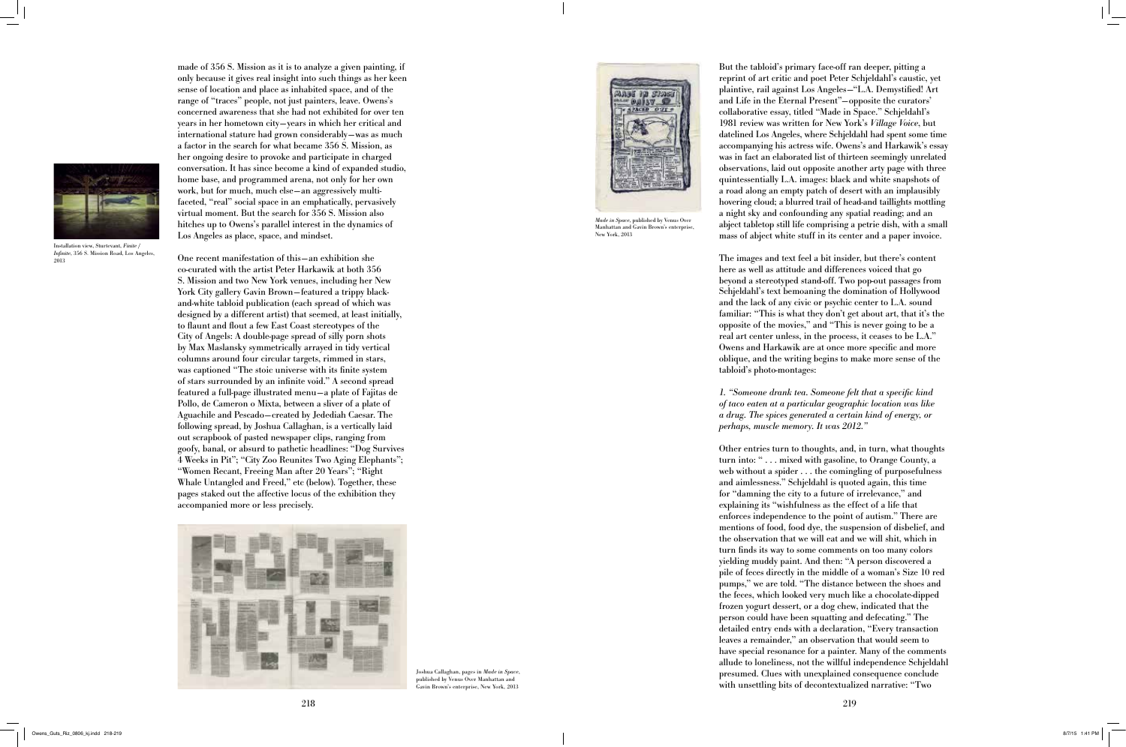made of 356 S. Mission as it is to analyze a given painting, if only because it gives real insight into such things as her keen sense of location and place as inhabited space, and of the range of "traces" people, not just painters, leave. Owens's concerned awareness that she had not exhibited for over ten years in her hometown city —years in which her critical and international stature had grown considerably —was as much a factor in the search for what became 356 S. Mission, as her ongoing desire to provoke and participate in charged conversation. It has since become a kind of expanded studio, home base, and programmed arena, not only for her own work, but for much, much else —an aggressively multifaceted, "real" social space in an emphatically, pervasively virtual moment. But the search for 356 S. Mission also hitches up to Owens's parallel interest in the dynamics of Los Angeles as place, space, and mindset.

One recent manifestation of this—an exhibition she co-curated with the artist Peter Harkawik at both 356 S. Mission and two New York venues, including her New York City gallery Gavin Brown—featured a trippy blackand-white tabloid publication (each spread of which was designed by a different artist) that seemed, at least initially, to flaunt and flout a few East Coast stereotypes of the City of Angels: A double-page spread of silly porn shots by Max Maslansky symmetrically arrayed in tidy vertical columns around four circular targets, rimmed in stars, was captioned "The stoic universe with its finite system of stars surrounded by an infinite void." A second spread featured a full-page illustrated menu—a plate of Fajitas de Pollo, de Cameron o Mixta, between a sliver of a plate of Aguachile and Pescado—created by Jedediah Caesar. The following spread, by Joshua Callaghan, is a vertically laid out scrapbook of pasted newspaper clips, ranging from goofy, banal, or absurd to pathetic headlines: "Dog Survives 4 Weeks in Pit"; "City Zoo Reunites Two Aging Elephants"; "Women Recant, Freeing Man after 20 Years"; "Right Whale Untangled and Freed," etc (below). Together, these pages staked out the affective locus of the exhibition they accompanied more or less precisely.



But the tabloid's primary face-off ran deeper, pitting a reprint of art critic and poet Peter Schjeldahl's caustic, yet plaintive, rail against Los Angeles—"L.A. Demystified! Art and Life in the Eternal Present"—opposite the curators' collaborative essay, titled "Made in Space." Schjeldahl's 1981 review was written for New York's *Village Voice*, but datelined Los Angeles, where Schjeldahl had spent some time accompanying his actress wife. Owens's and Harkawik's essay was in fact an elaborated list of thirteen seemingly unrelated observations, laid out opposite another arty page with three quintessentially L.A. images: black and white snapshots of a road along an empty patch of desert with an implausibly hovering cloud; a blurred trail of head-and taillights mottling a night sky and confounding any spatial reading; and an abject tabletop still life comprising a petrie dish, with a small mass of abject white stuff in its center and a paper invoice.

Joshua Callaghan, pages in *Made in Space*, published by Venus Over Manhattan and avin Brown's enterprise, New York, 2013

The images and text feel a bit insider, but there's content here as well as attitude and differences voiced that go beyond a stereotyped stand-off. Two pop-out passages from Schjeldahl's text bemoaning the domination of Hollywood and the lack of any civic or psychic center to L.A. sound familiar: "This is what they don't get about art, that it's the opposite of the movies," and "This is never going to be a real art center unless, in the process, it ceases to be L.A." Owens and Harkawik are at once more specific and more oblique, and the writing begins to make more sense of the tabloid's photo-montages:

*1. "Someone drank tea. Someone felt that a specific kind of taco eaten at a particular geographic location was like a drug. The spices generated a certain kind of energy, or perhaps, muscle memory. It was 2012."*

Other entries turn to thoughts, and, in turn, what thoughts turn into: " . . . mixed with gasoline, to Orange County, a web without a spider . . . the comingling of purposefulness and aimlessness." Schjeldahl is quoted again, this time for "damning the city to a future of irrelevance," and explaining its "wishfulness as the effect of a life that enforces independence to the point of autism." There are mentions of food, food dye, the suspension of disbelief, and the observation that we will eat and we will shit, which in turn finds its way to some comments on too many colors yielding muddy paint. And then: "A person discovered a pile of feces directly in the middle of a woman's Size 10 red pumps," we are told. "The distance between the shoes and the feces, which looked very much like a chocolate-dipped frozen yogurt dessert, or a dog chew, indicated that the person could have been squatting and defecating." The detailed entry ends with a declaration, "Every transaction leaves a remainder," an observation that would seem to have special resonance for a painter. Many of the comments allude to loneliness, not the willful independence Schjeldahl presumed. Clues with unexplained consequence conclude with unsettling bits of decontextualized narrative: "Two



Installation view, Sturtevant, *Finite / Infinite*, 356 S. Mission Road, Los Angeles, 2013



*Made in Space*, published by Venus Over Manhattan and Gavin Brown's enterprise, New York, 2013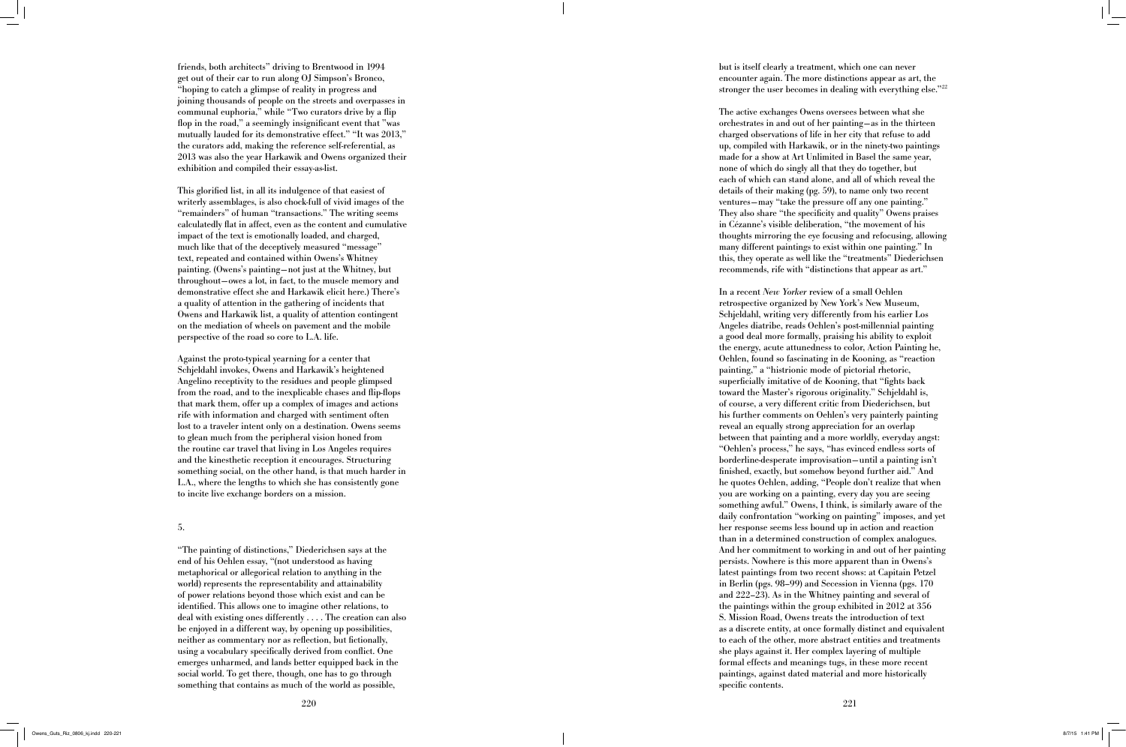friends, both architects" driving to Brentwood in 1994 get out of their car to run along OJ Simpson's Bronco, "hoping to catch a glimpse of reality in progress and joining thousands of people on the streets and overpasses in communal euphoria," while "Two curators drive by a flip flop in the road," a seemingly insignificant event that "was mutually lauded for its demonstrative effect." "It was 2013," the curators add, making the reference self-referential, as 2013 was also the year Harkawik and Owens organized their exhibition and compiled their essay-as-list.

This glorified list, in all its indulgence of that easiest of writerly assemblages, is also chock-full of vivid images of the "remainders" of human "transactions." The writing seems calculatedly flat in affect, even as the content and cumulative impact of the text is emotionally loaded, and charged, much like that of the deceptively measured "message" text, repeated and contained within Owens's Whitney painting. (Owens's painting —not just at the Whitney, but throughout —owes a lot, in fact, to the muscle memory and demonstrative effect she and Harkawik elicit here.) There's a quality of attention in the gathering of incidents that Owens and Harkawik list, a quality of attention contingent on the mediation of wheels on pavement and the mobile perspective of the road so core to L.A. life.

Against the proto-typical yearning for a center that Schjeldahl invokes, Owens and Harkawik's heightened Angelino receptivity to the residues and people glimpsed from the road, and to the inexplicable chases and flip-flops that mark them, offer up a complex of images and actions rife with information and charged with sentiment often lost to a traveler intent only on a destination. Owens seems to glean much from the peripheral vision honed from the routine car travel that living in Los Angeles requires and the kinesthetic reception it encourages. Structuring something social, on the other hand, is that much harder in L.A., where the lengths to which she has consistently gone to incite live exchange borders on a mission.

### 5.

"The painting of distinctions," Diederichsen says at the end of his Oehlen essay, "(not understood as having metaphorical or allegorical relation to anything in the world) represents the representability and attainability of power relations beyond those which exist and can be identified. This allows one to imagine other relations, to deal with existing ones differently . . . . The creation can also be enjoyed in a different way, by opening up possibilities, neither as commentary nor as reflection, but fictionally, using a vocabulary specifically derived from conflict. One emerges unharmed, and lands better equipped back in the social world. To get there, though, one has to go through something that contains as much of the world as possible,

but is itself clearly a treatment, which one can never encounter again. The more distinctions appear as art, the stronger the user becomes in dealing with everything else."22

The active exchanges Owens oversees between what she orchestrates in and out of her painting—as in the thirteen charged observations of life in her city that refuse to add up, compiled with Harkawik, or in the ninety-two paintings made for a show at Art Unlimited in Basel the same year, none of which do singly all that they do together, but each of which can stand alone, and all of which reveal the details of their making (pg. 59), to name only two recent ventures—may "take the pressure off any one painting." They also share "the specificity and quality" Owens praises in Cézanne's visible deliberation, "the movement of his thoughts mirroring the eye focusing and refocusing, allowing many different paintings to exist within one painting." In this, they operate as well like the "treatments" Diederichsen recommends, rife with "distinctions that appear as art."

In a recent *New Yorker* review of a small Oehlen retrospective organized by New York's New Museum, Schjeldahl, writing very differently from his earlier Los Angeles diatribe, reads Oehlen's post-millennial painting a good deal more formally, praising his ability to exploit the energy, acute attunedness to color, Action Painting he, Oehlen, found so fascinating in de Kooning, as "reaction painting," a "histrionic mode of pictorial rhetoric, superficially imitative of de Kooning, that "fights back toward the Master's rigorous originality." Schjeldahl is, of course, a very different critic from Diederichsen, but his further comments on Oehlen's very painterly painting reveal an equally strong appreciation for an overlap between that painting and a more worldly, everyday angst: "Oehlen's process," he says, "has evinced endless sorts of borderline-desperate improvisation—until a painting isn't finished, exactly, but somehow beyond further aid." And he quotes Oehlen, adding, "People don't realize that when you are working on a painting, every day you are seeing something awful." Owens, I think, is similarly aware of the daily confrontation "working on painting" imposes, and yet her response seems less bound up in action and reaction than in a determined construction of complex analogues. And her commitment to working in and out of her painting persists. Nowhere is this more apparent than in Owens's latest paintings from two recent shows: at Capitain Petzel in Berlin (pgs. 98–99) and Secession in Vienna (pgs. 170 and 222–23). As in the Whitney painting and several of the paintings within the group exhibited in 2012 at 356 S. Mission Road, Owens treats the introduction of text as a discrete entity, at once formally distinct and equivalent to each of the other, more abstract entities and treatments she plays against it. Her complex layering of multiple formal effects and meanings tugs, in these more recent paintings, against dated material and more historically specific contents.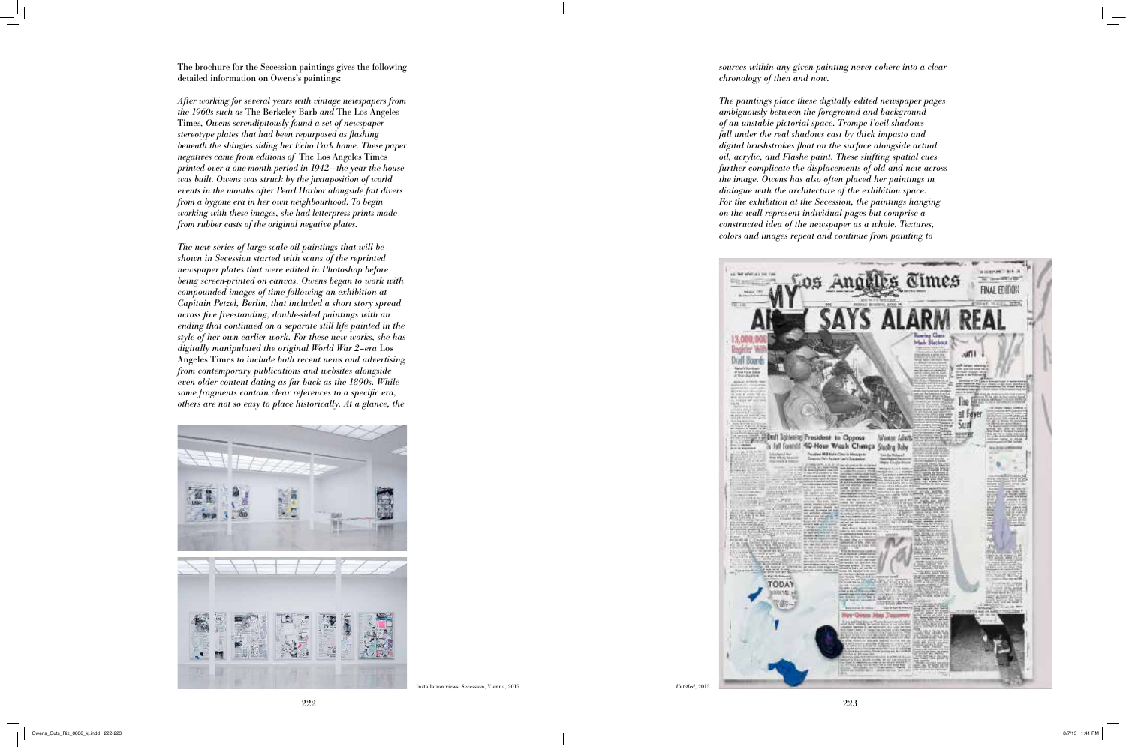The brochure for the Secession paintings gives the following detailed information on Owens's paintings:

*After working for several years with vintage newspapers from the 1960s such as* The Berkeley Barb *and* The Los Angeles Times*, Owens serendipitously found a set of newspaper stereotype plates that had been repurposed as flashing beneath the shingles siding her Echo Park home. These paper negatives came from editions of* The Los Angeles Times *printed over a one-month period in 1942—the year the house was built. Owens was struck by the juxtaposition of world events in the months after Pearl Harbor alongside fait divers from a bygone era in her own neighbourhood. To begin working with these images, she had letterpress prints made from rubber casts of the original negative plates.*

*The new series of large-scale oil paintings that will be shown in Secession started with scans of the reprinted newspaper plates that were edited in Photoshop before being screen-printed on canvas. Owens began to work with compounded images of time following an exhibition at Capitain Petzel, Berlin, that included a short story spread across five freestanding, double-sided paintings with an ending that continued on a separate still life painted in the style of her own earlier work. For these new works, she has digitally manipulated the original World War 2–era* Los Angeles Times *to include both recent news and advertising from contemporary publications and websites alongside even older content dating as far back as the 1890s. While some fragments contain clear references to a specific era, others are not so easy to place historically. At a glance, the* 



*sources within any given painting never cohere into a clear chronology of then and now.* 

*The paintings place these digitally edited newspaper pages ambiguously between the foreground and background of an unstable pictorial space. Trompe l'oeil shadows fall under the real shadows cast by thick impasto and digital brushstrokes float on the surface alongside actual oil, acrylic, and Flashe paint. These shifting spatial cues further complicate the displacements of old and new across the image. Owens has also often placed her paintings in dialogue with the architecture of the exhibition space. For the exhibition at the Secession, the paintings hanging on the wall represent individual pages but comprise a constructed idea of the newspaper as a whole. Textures, colors and images repeat and continue from painting to* 



Installation views, Secession, Vienna, 2015 *Untitled*, 2015